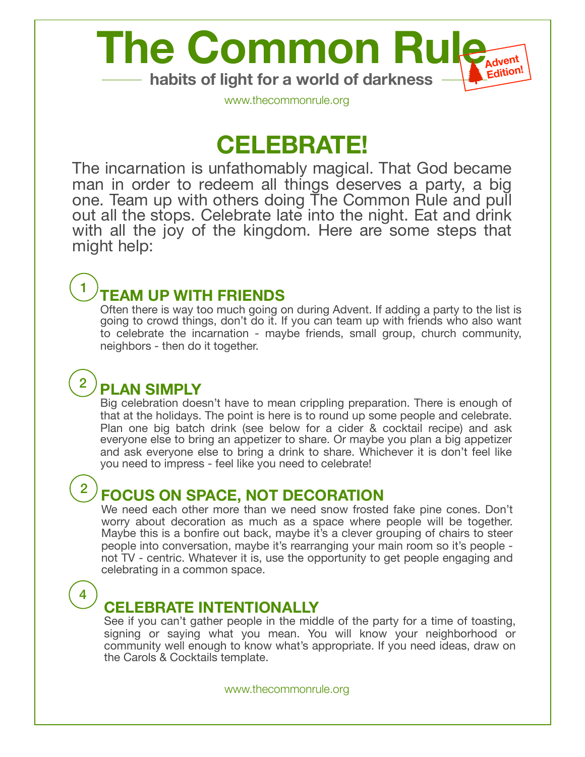### **The Common Rule habits of light for a world of darkness Advent Edition!**

www.thecommonrule.org

# **CELEBRATE!**

The incarnation is unfathomably magical. That God became man in order to redeem all things deserves a party, a big one. Team up with others doing The Common Rule and pull out all the stops. Celebrate late into the night. Eat and drink with all the joy of the kingdom. Here are some steps that might help:

#### 1 **TEAM UP WITH FRIENDS**

Often there is way too much going on during Advent. If adding a party to the list is going to crowd things, don't do it. If you can team up with friends who also want to celebrate the incarnation - maybe friends, small group, church community, neighbors - then do it together.

# **PLAN SIMPLY**

Big celebration doesn't have to mean crippling preparation. There is enough of that at the holidays. The point is here is to round up some people and celebrate. Plan one big batch drink (see below for a cider & cocktail recipe) and ask everyone else to bring an appetizer to share. Or maybe you plan a big appetizer and ask everyone else to bring a drink to share. Whichever it is don't feel like you need to impress - feel like you need to celebrate!

#### **FOCUS ON SPACE, NOT DECORATION** 2

We need each other more than we need snow frosted fake pine cones. Don't worry about decoration as much as a space where people will be together. Maybe this is a bonfire out back, maybe it's a clever grouping of chairs to steer people into conversation, maybe it's rearranging your main room so it's people not TV - centric. Whatever it is, use the opportunity to get people engaging and celebrating in a common space.

4

2

### **CELEBRATE INTENTIONALLY**

See if you can't gather people in the middle of the party for a time of toasting, signing or saying what you mean. You will know your neighborhood or community well enough to know what's appropriate. If you need ideas, draw on the Carols & Cocktails template.

www.thecommonrule.org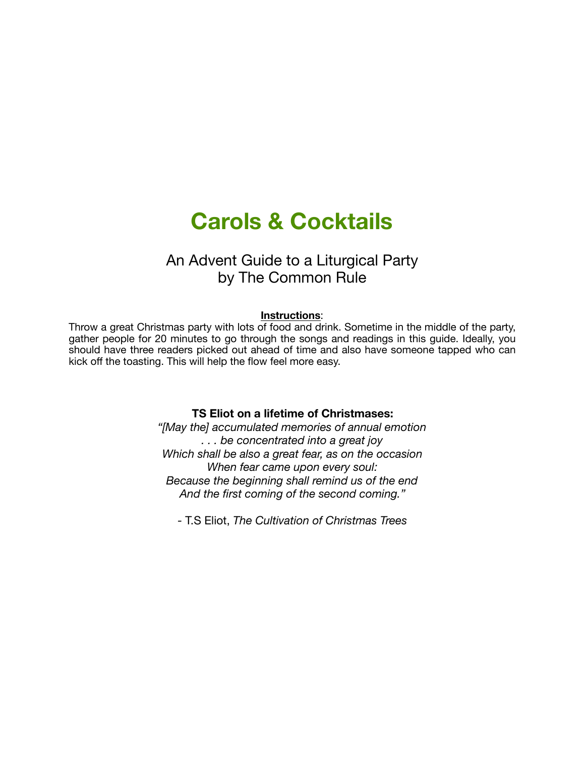### **Carols & Cocktails**

### An Advent Guide to a Liturgical Party by The Common Rule

#### **Instructions**:

Throw a great Christmas party with lots of food and drink. Sometime in the middle of the party, gather people for 20 minutes to go through the songs and readings in this guide. Ideally, you should have three readers picked out ahead of time and also have someone tapped who can kick off the toasting. This will help the flow feel more easy.

#### **TS Eliot on a lifetime of Christmases:**

*"[May the] accumulated memories of annual emotion . . . be concentrated into a great joy Which shall be also a great fear, as on the occasion When fear came upon every soul: Because the beginning shall remind us of the end And the first coming of the second coming."* 

*-* T.S Eliot, *The Cultivation of Christmas Trees*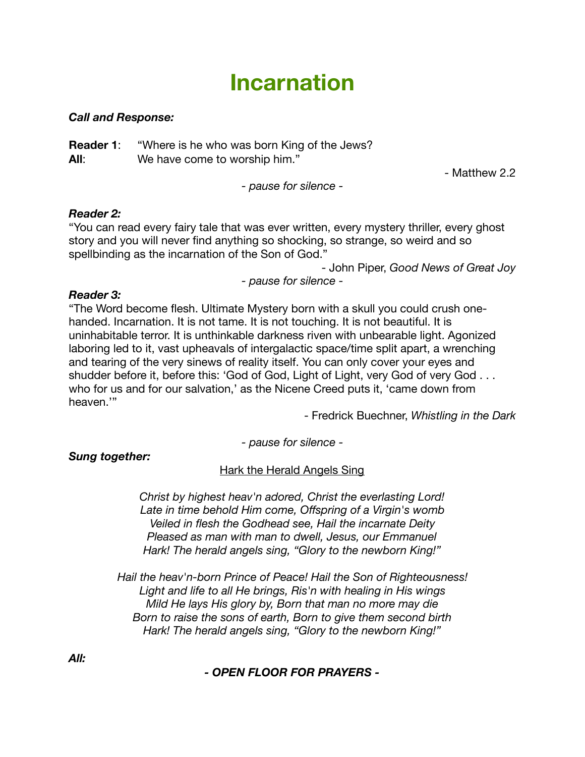# **Incarnation**

#### *Call and Response:*

**Reader 1**: "Where is he who was born King of the Jews? **All:** We have come to worship him."

- Matthew 2.2

*- pause for silence -* 

#### *Reader 2:*

"You can read every fairy tale that was ever written, every mystery thriller, every ghost story and you will never find anything so shocking, so strange, so weird and so spellbinding as the incarnation of the Son of God."

- John Piper, *Good News of Great Joy*

*- pause for silence -* 

#### *Reader 3:*

"The Word become flesh. Ultimate Mystery born with a skull you could crush onehanded. Incarnation. It is not tame. It is not touching. It is not beautiful. It is uninhabitable terror. It is unthinkable darkness riven with unbearable light. Agonized laboring led to it, vast upheavals of intergalactic space/time split apart, a wrenching and tearing of the very sinews of reality itself. You can only cover your eyes and shudder before it, before this: 'God of God, Light of Light, very God of very God . . . who for us and for our salvation,' as the Nicene Creed puts it, 'came down from heaven.'" 

- Fredrick Buechner, *Whistling in the Dark*

*- pause for silence -* 

*Sung together:* 

### Hark the Herald Angels Sing

*Christ by highest heav'n adored, Christ the everlasting Lord! Late in time behold Him come, Offspring of a Virgin's womb Veiled in flesh the Godhead see, Hail the incarnate Deity Pleased as man with man to dwell, Jesus, our Emmanuel Hark! The herald angels sing, "Glory to the newborn King!"* 

*Hail the heav'n-born Prince of Peace! Hail the Son of Righteousness! Light and life to all He brings, Ris'n with healing in His wings Mild He lays His glory by, Born that man no more may die Born to raise the sons of earth, Born to give them second birth Hark! The herald angels sing, "Glory to the newborn King!"*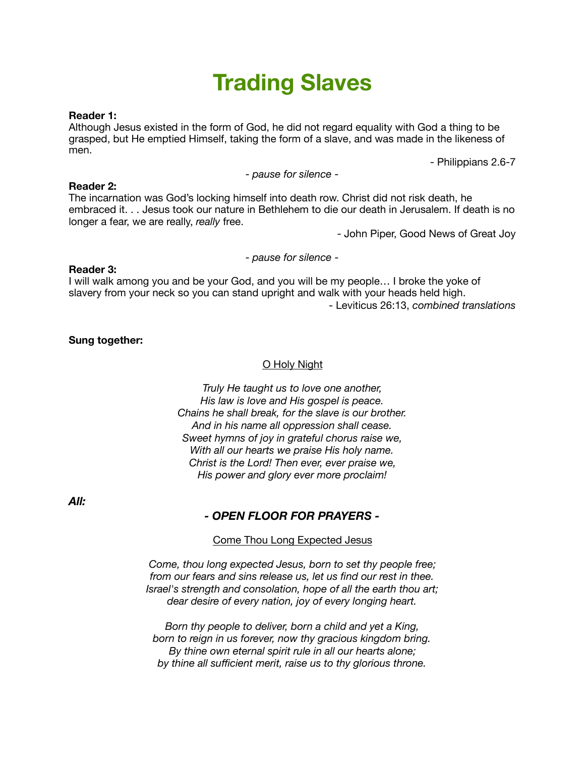# **Trading Slaves**

#### **Reader 1:**

Although Jesus existed in the form of God, he did not regard equality with God a thing to be grasped, but He emptied Himself, taking the form of a slave, and was made in the likeness of men.

- Philippians 2.6-7

- *pause for silence* -

#### **Reader 2:**

The incarnation was God's locking himself into death row. Christ did not risk death, he embraced it. . . Jesus took our nature in Bethlehem to die our death in Jerusalem. If death is no longer a fear, we are really, *really* free.

- John Piper, Good News of Great Joy

#### **Reader 3:**

I will walk among you and be your God, and you will be my people… I broke the yoke of slavery from your neck so you can stand upright and walk with your heads held high. - Leviticus 26:13, *combined translations*

- *pause for silence* -

#### **Sung together:**

#### O Holy Night

*Truly He taught us to love one another, His law is love and His gospel is peace. Chains he shall break, for the slave is our brother. And in his name all oppression shall cease. Sweet hymns of joy in grateful chorus raise we, With all our hearts we praise His holy name. Christ is the Lord! Then ever, ever praise we, His power and glory ever more proclaim!*

*All:* 

#### *- OPEN FLOOR FOR PRAYERS -*

#### Come Thou Long Expected Jesus

*Come, thou long expected Jesus, born to set thy people free; from our fears and sins release us, let us find our rest in thee. Israel's strength and consolation, hope of all the earth thou art; dear desire of every nation, joy of every longing heart.* 

*Born thy people to deliver, born a child and yet a King, born to reign in us forever, now thy gracious kingdom bring. By thine own eternal spirit rule in all our hearts alone; by thine all sufficient merit, raise us to thy glorious throne.*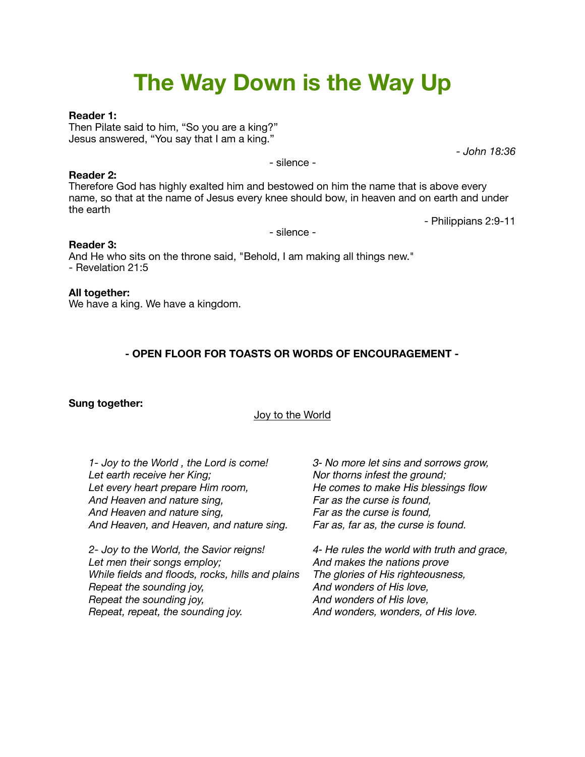# **The Way Down is the Way Up**

#### **Reader 1:**

Then Pilate said to him, "So you are a king?" Jesus answered, "You say that I am a king."

- silence -

#### **Reader 2:**

Therefore God has highly exalted him and bestowed on him the name that is above every name, so that at the name of Jesus every knee should bow, in heaven and on earth and under the earth

- Philippians 2:9-11

*- John 18:36* 

- silence -

#### **Reader 3:**

And He who sits on the throne said, "Behold, I am making all things new." - Revelation 21:5

#### **All together:**

We have a king. We have a kingdom.

*Repeat, repeat, the sounding joy.*

#### **- OPEN FLOOR FOR TOASTS OR WORDS OF ENCOURAGEMENT -**

#### **Sung together:**

#### Joy to the World

| 1- Joy to the World, the Lord is come!           | 3- No more let sins and sorrows grow,       |
|--------------------------------------------------|---------------------------------------------|
| Let earth receive her King;                      | Nor thorns infest the ground;               |
| Let every heart prepare Him room,                | He comes to make His blessings flow         |
| And Heaven and nature sing,                      | Far as the curse is found,                  |
| And Heaven and nature sing,                      | Far as the curse is found,                  |
| And Heaven, and Heaven, and nature sing.         | Far as, far as, the curse is found.         |
| 2- Joy to the World, the Savior reigns!          | 4- He rules the world with truth and grace, |
| Let men their songs employ;                      | And makes the nations prove                 |
| While fields and floods, rocks, hills and plains | The glories of His righteousness,           |
| Repeat the sounding joy,                         | And wonders of His love,                    |
| Repeat the sounding joy,                         | And wonders of His love,                    |

*And wonders, wonders, of His love.*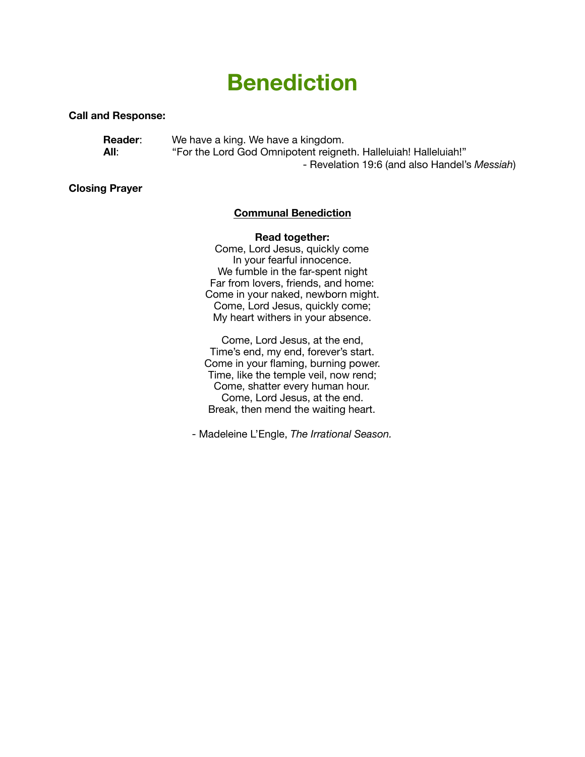## **Benediction**

#### **Call and Response:**

| <b>Reader:</b> | We have a king. We have a kingdom.                              |
|----------------|-----------------------------------------------------------------|
| All:           | "For the Lord God Omnipotent reigneth. Halleluiah! Halleluiah!" |
|                | - Revelation 19:6 (and also Handel's Messiah)                   |

#### **Closing Prayer**

#### **Communal Benediction**

**Read together:**  Come, Lord Jesus, quickly come In your fearful innocence. We fumble in the far-spent night Far from lovers, friends, and home: Come in your naked, newborn might. Come, Lord Jesus, quickly come; My heart withers in your absence.

Come, Lord Jesus, at the end, Time's end, my end, forever's start. Come in your flaming, burning power. Time, like the temple veil, now rend; Come, shatter every human hour. Come, Lord Jesus, at the end. Break, then mend the waiting heart.

- Madeleine L'Engle, *The Irrational Season.*